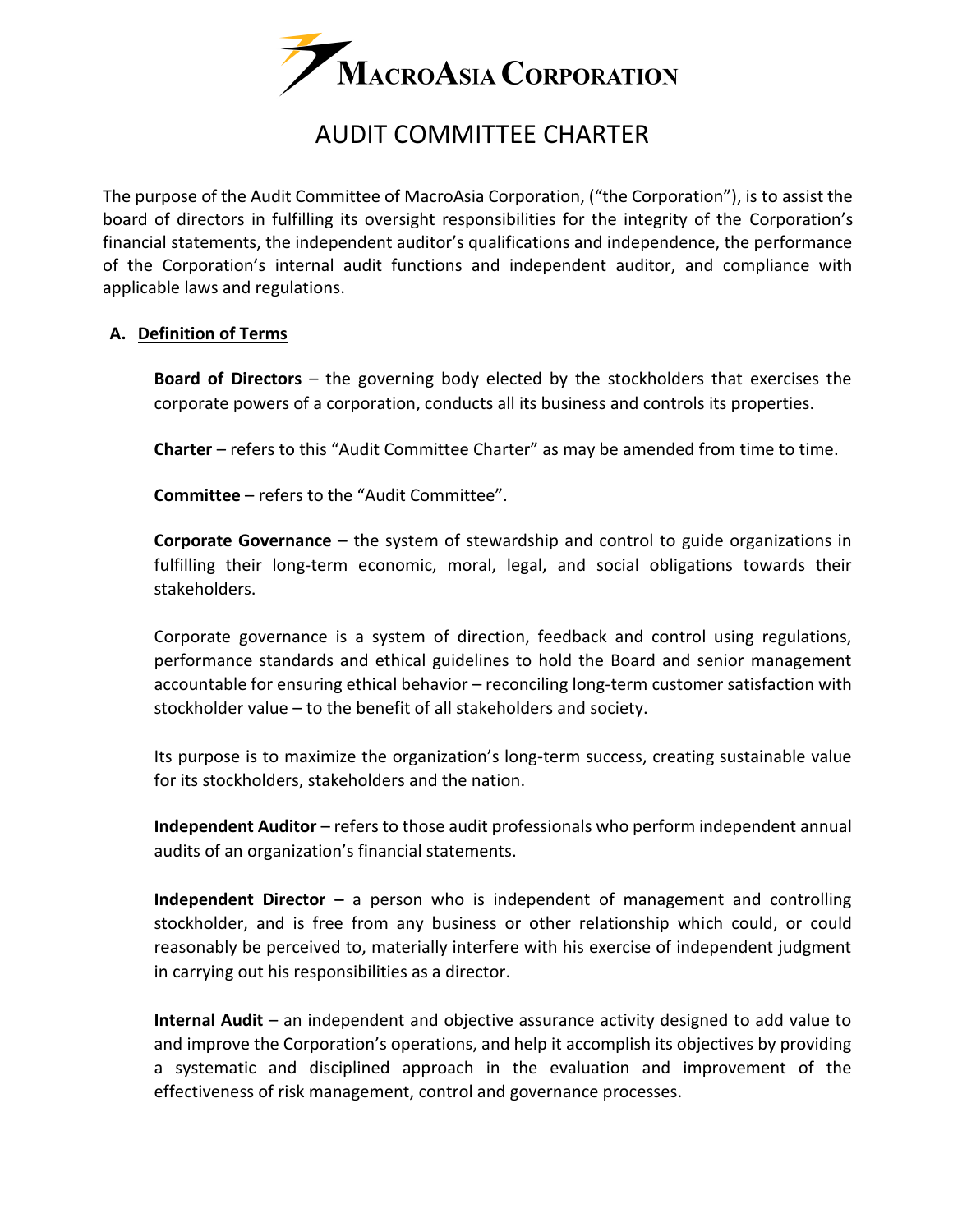

# AUDIT COMMITTEE CHARTER

The purpose of the Audit Committee of MacroAsia Corporation, ("the Corporation"), is to assist the board of directors in fulfilling its oversight responsibilities for the integrity of the Corporation's financial statements, the independent auditor's qualifications and independence, the performance of the Corporation's internal audit functions and independent auditor, and compliance with applicable laws and regulations.

## **A. Definition of Terms**

**Board of Directors** – the governing body elected by the stockholders that exercises the corporate powers of a corporation, conducts all its business and controls its properties.

**Charter** – refers to this "Audit Committee Charter" as may be amended from time to time.

**Committee** – refers to the "Audit Committee".

**Corporate Governance** – the system of stewardship and control to guide organizations in fulfilling their long-term economic, moral, legal, and social obligations towards their stakeholders.

Corporate governance is a system of direction, feedback and control using regulations, performance standards and ethical guidelines to hold the Board and senior management accountable for ensuring ethical behavior – reconciling long-term customer satisfaction with stockholder value – to the benefit of all stakeholders and society.

Its purpose is to maximize the organization's long-term success, creating sustainable value for its stockholders, stakeholders and the nation.

**Independent Auditor** – refers to those audit professionals who perform independent annual audits of an organization's financial statements.

**Independent Director –** a person who is independent of management and controlling stockholder, and is free from any business or other relationship which could, or could reasonably be perceived to, materially interfere with his exercise of independent judgment in carrying out his responsibilities as a director.

**Internal Audit** – an independent and objective assurance activity designed to add value to and improve the Corporation's operations, and help it accomplish its objectives by providing a systematic and disciplined approach in the evaluation and improvement of the effectiveness of risk management, control and governance processes.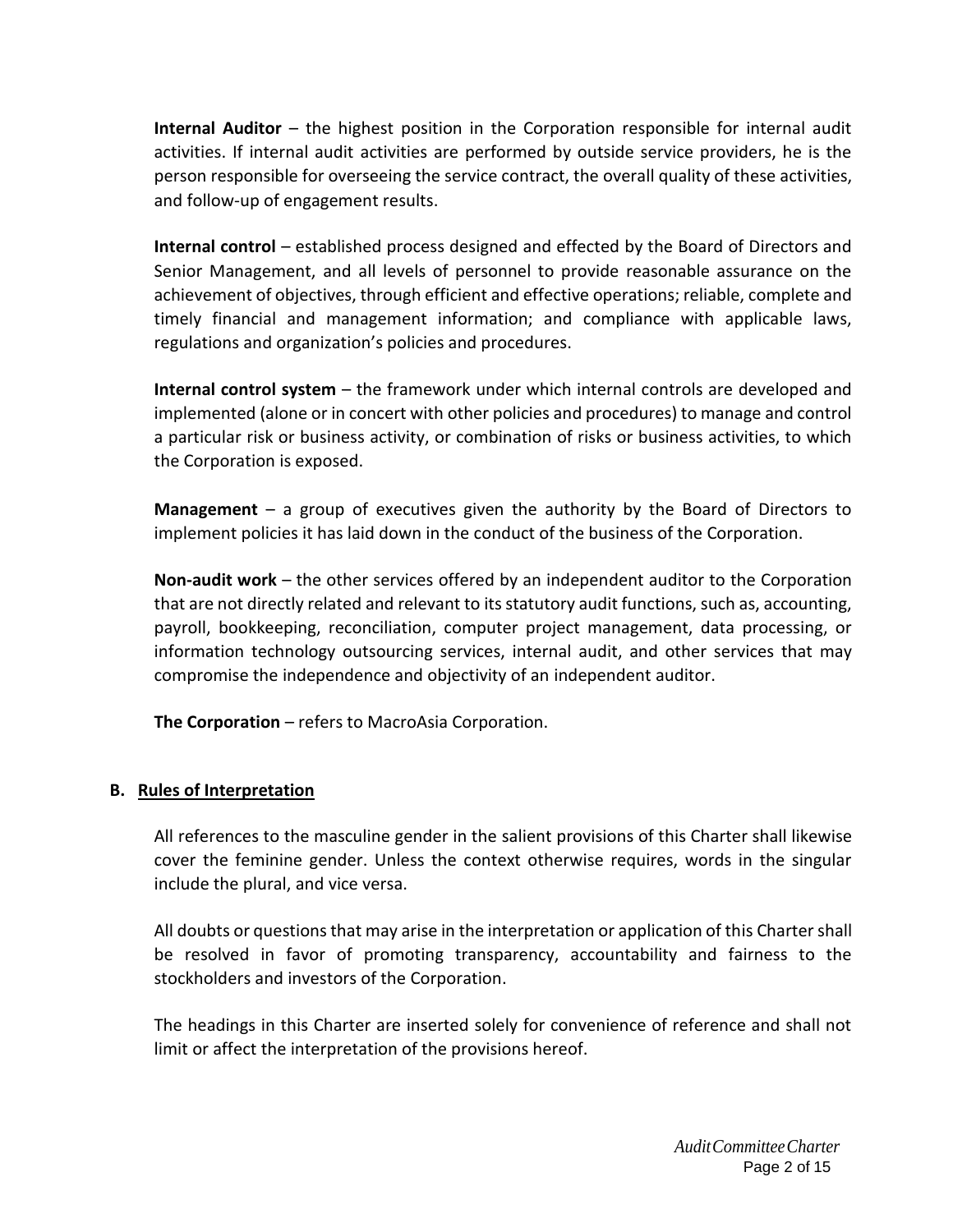**Internal Auditor** – the highest position in the Corporation responsible for internal audit activities. If internal audit activities are performed by outside service providers, he is the person responsible for overseeing the service contract, the overall quality of these activities, and follow‐up of engagement results.

**Internal control** – established process designed and effected by the Board of Directors and Senior Management, and all levels of personnel to provide reasonable assurance on the achievement of objectives, through efficient and effective operations; reliable, complete and timely financial and management information; and compliance with applicable laws, regulations and organization's policies and procedures.

**Internal control system** – the framework under which internal controls are developed and implemented (alone or in concert with other policies and procedures) to manage and control a particular risk or business activity, or combination of risks or business activities, to which the Corporation is exposed.

**Management** – a group of executives given the authority by the Board of Directors to implement policies it has laid down in the conduct of the business of the Corporation.

**Non-audit work** – the other services offered by an independent auditor to the Corporation that are not directly related and relevant to its statutory audit functions, such as, accounting, payroll, bookkeeping, reconciliation, computer project management, data processing, or information technology outsourcing services, internal audit, and other services that may compromise the independence and objectivity of an independent auditor.

**The Corporation** – refers to MacroAsia Corporation.

## **B. Rules of Interpretation**

All references to the masculine gender in the salient provisions of this Charter shall likewise cover the feminine gender. Unless the context otherwise requires, words in the singular include the plural, and vice versa.

All doubts or questions that may arise in the interpretation or application of this Charter shall be resolved in favor of promoting transparency, accountability and fairness to the stockholders and investors of the Corporation.

The headings in this Charter are inserted solely for convenience of reference and shall not limit or affect the interpretation of the provisions hereof.

> *AuditCommitteeCharter* Page 2 of 15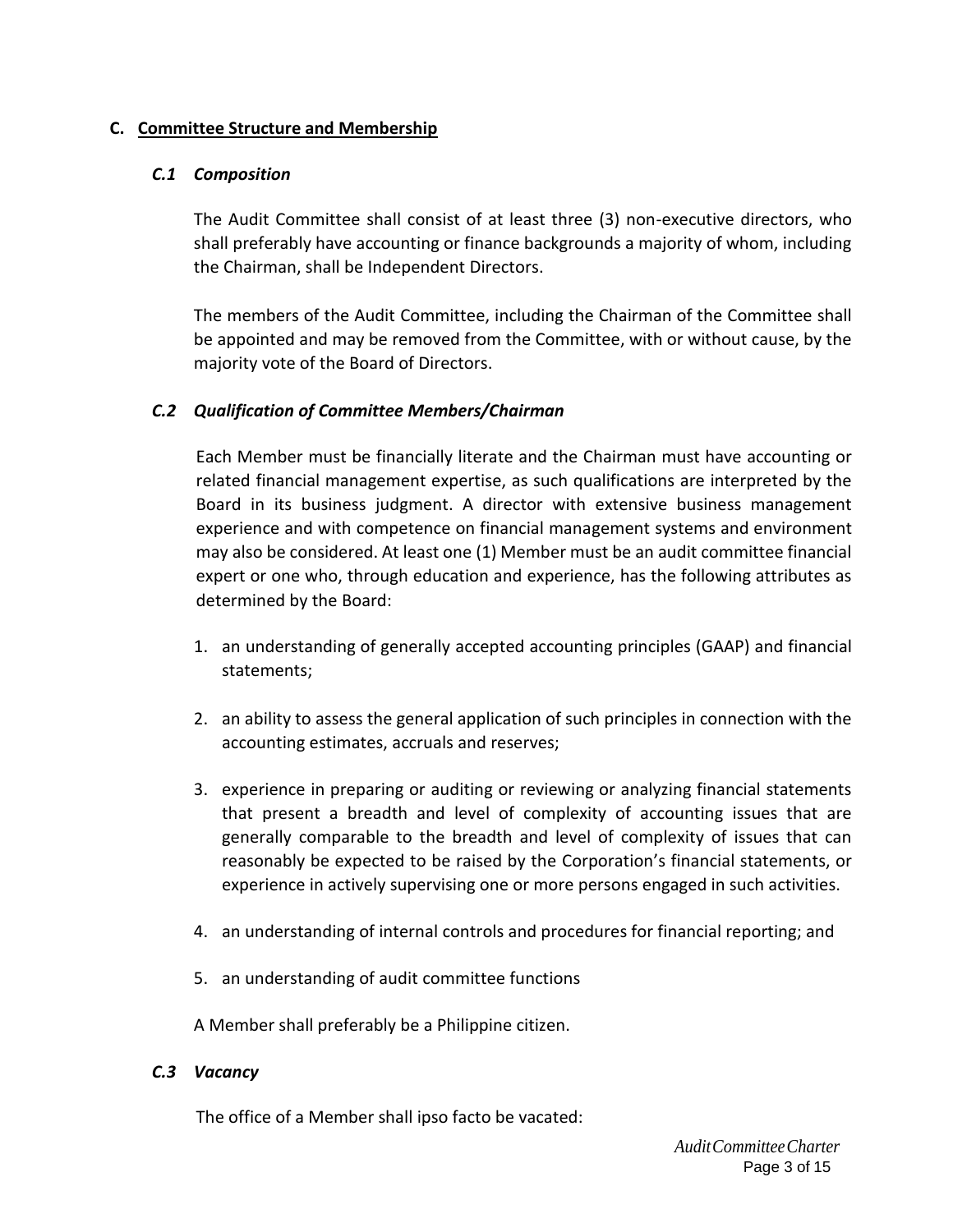# **C. Committee Structure and Membership**

## *C.1 Composition*

The Audit Committee shall consist of at least three (3) non-executive directors, who shall preferably have accounting or finance backgrounds a majority of whom, including the Chairman, shall be Independent Directors.

The members of the Audit Committee, including the Chairman of the Committee shall be appointed and may be removed from the Committee, with or without cause, by the majority vote of the Board of Directors.

# *C.2 Qualification of Committee Members/Chairman*

Each Member must be financially literate and the Chairman must have accounting or related financial management expertise, as such qualifications are interpreted by the Board in its business judgment. A director with extensive business management experience and with competence on financial management systems and environment may also be considered. At least one (1) Member must be an audit committee financial expert or one who, through education and experience, has the following attributes as determined by the Board:

- 1. an understanding of generally accepted accounting principles (GAAP) and financial statements;
- 2. an ability to assess the general application of such principles in connection with the accounting estimates, accruals and reserves;
- 3. experience in preparing or auditing or reviewing or analyzing financial statements that present a breadth and level of complexity of accounting issues that are generally comparable to the breadth and level of complexity of issues that can reasonably be expected to be raised by the Corporation's financial statements, or experience in actively supervising one or more persons engaged in such activities.
- 4. an understanding of internal controls and procedures for financial reporting; and
- 5. an understanding of audit committee functions

A Member shall preferably be a Philippine citizen.

## *C.3 Vacancy*

The office of a Member shall ipso facto be vacated: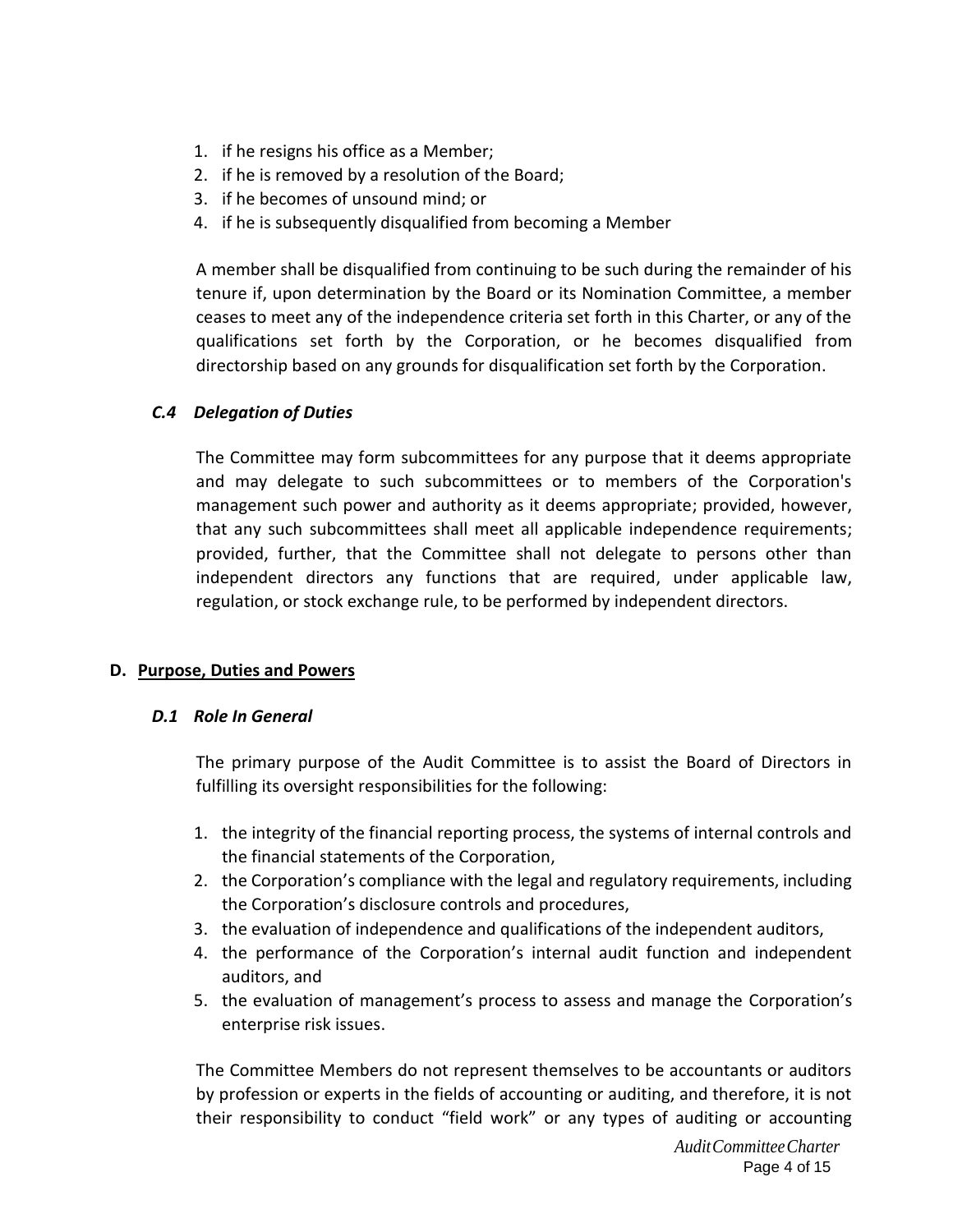- 1. if he resigns his office as a Member;
- 2. if he is removed by a resolution of the Board;
- 3. if he becomes of unsound mind; or
- 4. if he is subsequently disqualified from becoming a Member

A member shall be disqualified from continuing to be such during the remainder of his tenure if, upon determination by the Board or its Nomination Committee, a member ceases to meet any of the independence criteria set forth in this Charter, or any of the qualifications set forth by the Corporation, or he becomes disqualified from directorship based on any grounds for disqualification set forth by the Corporation.

# *C.4 Delegation of Duties*

The Committee may form subcommittees for any purpose that it deems appropriate and may delegate to such subcommittees or to members of the Corporation's management such power and authority as it deems appropriate; provided, however, that any such subcommittees shall meet all applicable independence requirements; provided, further, that the Committee shall not delegate to persons other than independent directors any functions that are required, under applicable law, regulation, or stock exchange rule, to be performed by independent directors.

# **D. Purpose, Duties and Powers**

# *D.1 Role In General*

The primary purpose of the Audit Committee is to assist the Board of Directors in fulfilling its oversight responsibilities for the following:

- 1. the integrity of the financial reporting process, the systems of internal controls and the financial statements of the Corporation,
- 2. the Corporation's compliance with the legal and regulatory requirements, including the Corporation's disclosure controls and procedures,
- 3. the evaluation of independence and qualifications of the independent auditors,
- 4. the performance of the Corporation's internal audit function and independent auditors, and
- 5. the evaluation of management's process to assess and manage the Corporation's enterprise risk issues.

The Committee Members do not represent themselves to be accountants or auditors by profession or experts in the fields of accounting or auditing, and therefore, it is not their responsibility to conduct "field work" or any types of auditing or accounting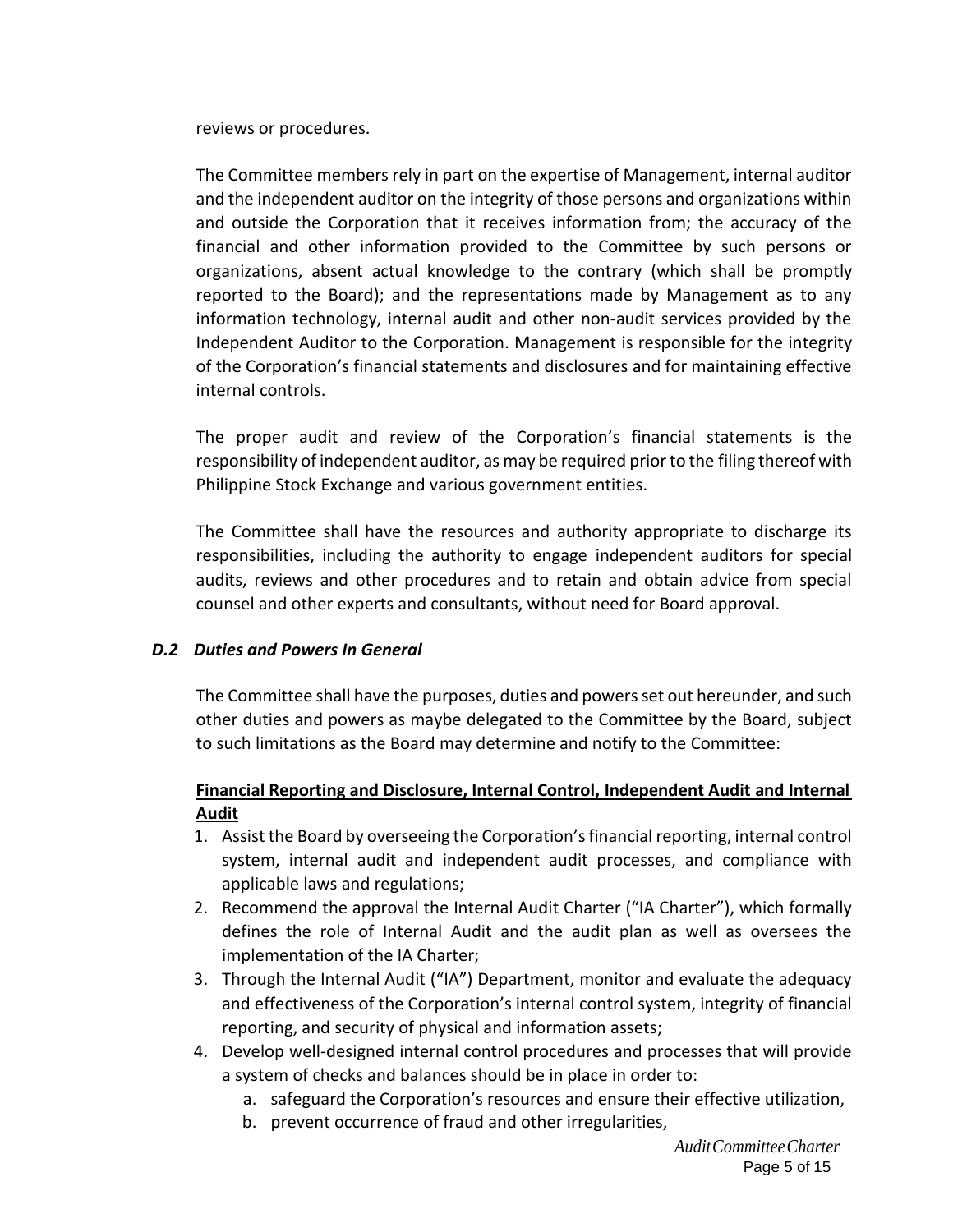reviews or procedures.

The Committee members rely in part on the expertise of Management, internal auditor and the independent auditor on the integrity of those persons and organizations within and outside the Corporation that it receives information from; the accuracy of the financial and other information provided to the Committee by such persons or organizations, absent actual knowledge to the contrary (which shall be promptly reported to the Board); and the representations made by Management as to any information technology, internal audit and other non‐audit services provided by the Independent Auditor to the Corporation. Management is responsible for the integrity of the Corporation's financial statements and disclosures and for maintaining effective internal controls.

The proper audit and review of the Corporation's financial statements is the responsibility of independent auditor, as may be required prior to the filing thereof with Philippine Stock Exchange and various government entities.

The Committee shall have the resources and authority appropriate to discharge its responsibilities, including the authority to engage independent auditors for special audits, reviews and other procedures and to retain and obtain advice from special counsel and other experts and consultants, without need for Board approval.

## *D.2 Duties and Powers In General*

The Committee shall have the purposes, duties and powers set out hereunder, and such other duties and powers as maybe delegated to the Committee by the Board, subject to such limitations as the Board may determine and notify to the Committee:

# **Financial Reporting and Disclosure, Internal Control, Independent Audit and Internal Audit**

- 1. Assist the Board by overseeing the Corporation's financial reporting, internal control system, internal audit and independent audit processes, and compliance with applicable laws and regulations;
- 2. Recommend the approval the Internal Audit Charter ("IA Charter"), which formally defines the role of Internal Audit and the audit plan as well as oversees the implementation of the IA Charter;
- 3. Through the Internal Audit ("IA") Department, monitor and evaluate the adequacy and effectiveness of the Corporation's internal control system, integrity of financial reporting, and security of physical and information assets;
- 4. Develop well-designed internal control procedures and processes that will provide a system of checks and balances should be in place in order to:
	- a. safeguard the Corporation's resources and ensure their effective utilization,
	- b. prevent occurrence of fraud and other irregularities,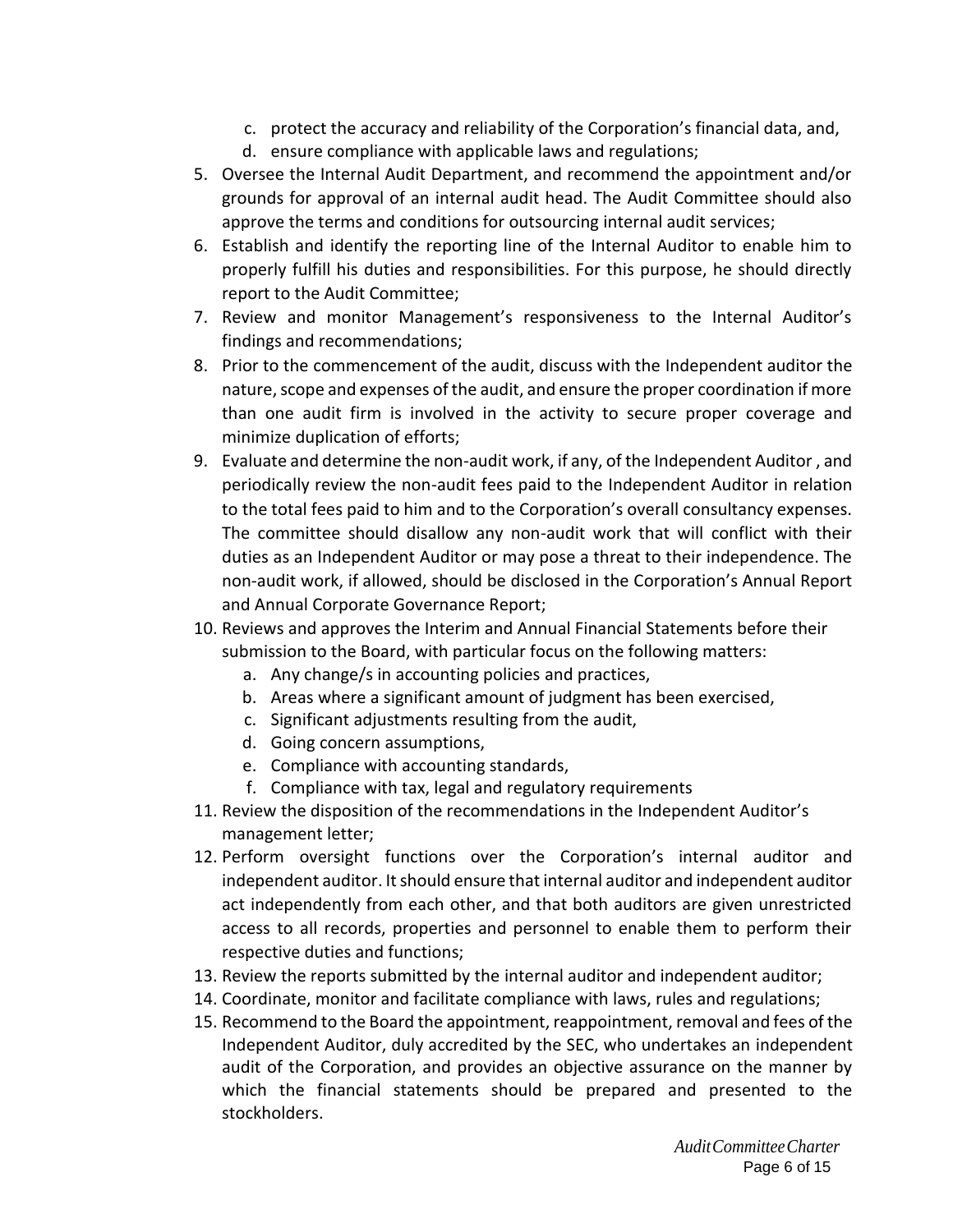- c. protect the accuracy and reliability of the Corporation's financial data, and,
- d. ensure compliance with applicable laws and regulations;
- 5. Oversee the Internal Audit Department, and recommend the appointment and/or grounds for approval of an internal audit head. The Audit Committee should also approve the terms and conditions for outsourcing internal audit services;
- 6. Establish and identify the reporting line of the Internal Auditor to enable him to properly fulfill his duties and responsibilities. For this purpose, he should directly report to the Audit Committee;
- 7. Review and monitor Management's responsiveness to the Internal Auditor's findings and recommendations;
- 8. Prior to the commencement of the audit, discuss with the Independent auditor the nature, scope and expenses of the audit, and ensure the proper coordination if more than one audit firm is involved in the activity to secure proper coverage and minimize duplication of efforts;
- 9. Evaluate and determine the non-audit work, if any, of the Independent Auditor , and periodically review the non-audit fees paid to the Independent Auditor in relation to the total fees paid to him and to the Corporation's overall consultancy expenses. The committee should disallow any non-audit work that will conflict with their duties as an Independent Auditor or may pose a threat to their independence. The non-audit work, if allowed, should be disclosed in the Corporation's Annual Report and Annual Corporate Governance Report;
- 10. Reviews and approves the Interim and Annual Financial Statements before their submission to the Board, with particular focus on the following matters:
	- a. Any change/s in accounting policies and practices,
	- b. Areas where a significant amount of judgment has been exercised,
	- c. Significant adjustments resulting from the audit,
	- d. Going concern assumptions,
	- e. Compliance with accounting standards,
	- f. Compliance with tax, legal and regulatory requirements
- 11. Review the disposition of the recommendations in the Independent Auditor's management letter;
- 12. Perform oversight functions over the Corporation's internal auditor and independent auditor. It should ensure that internal auditor and independent auditor act independently from each other, and that both auditors are given unrestricted access to all records, properties and personnel to enable them to perform their respective duties and functions;
- 13. Review the reports submitted by the internal auditor and independent auditor;
- 14. Coordinate, monitor and facilitate compliance with laws, rules and regulations;
- 15. Recommend to the Board the appointment, reappointment, removal and fees of the Independent Auditor, duly accredited by the SEC, who undertakes an independent audit of the Corporation, and provides an objective assurance on the manner by which the financial statements should be prepared and presented to the stockholders.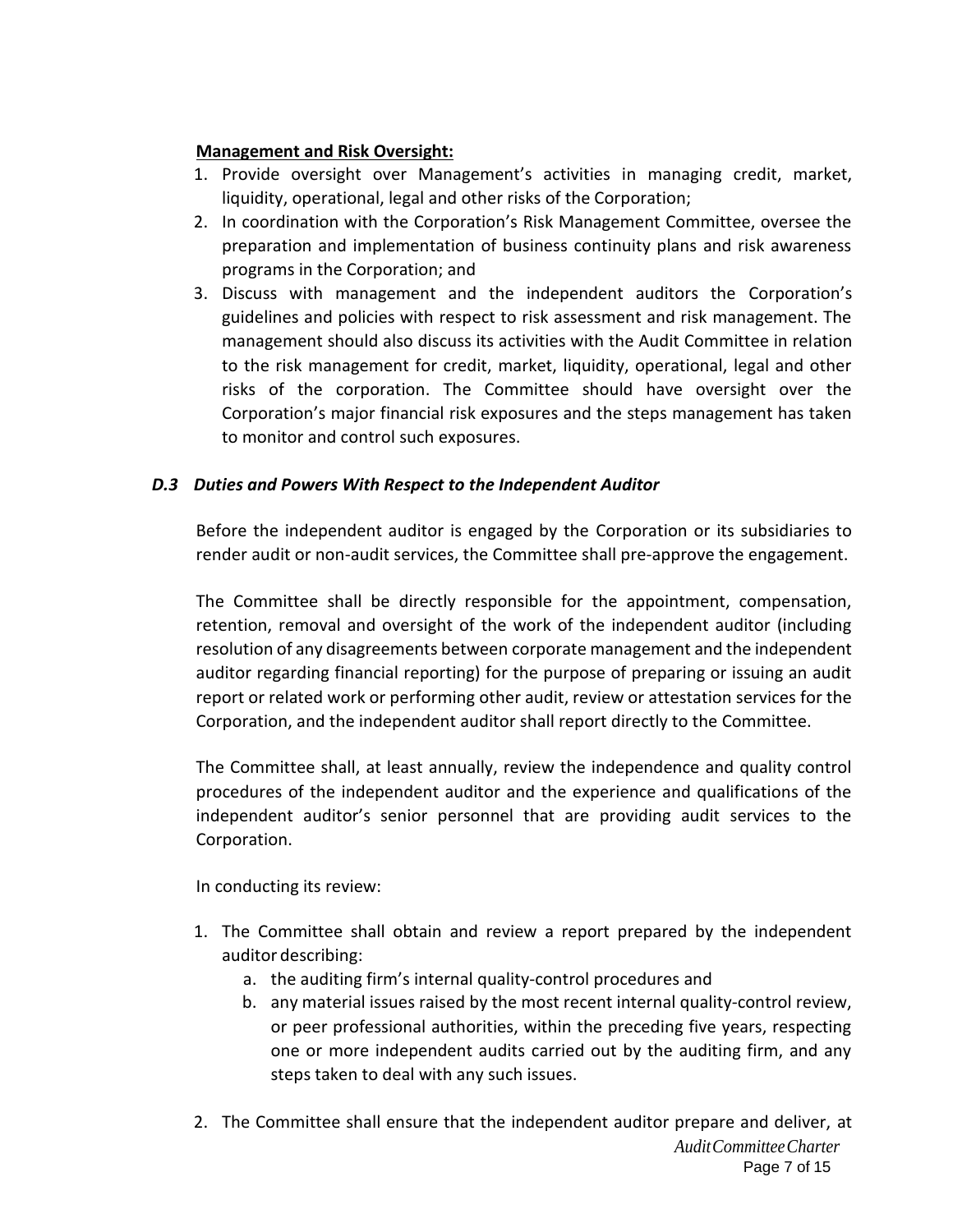# **Management and Risk Oversight:**

- 1. Provide oversight over Management's activities in managing credit, market, liquidity, operational, legal and other risks of the Corporation;
- 2. In coordination with the Corporation's Risk Management Committee, oversee the preparation and implementation of business continuity plans and risk awareness programs in the Corporation; and
- 3. Discuss with management and the independent auditors the Corporation's guidelines and policies with respect to risk assessment and risk management. The management should also discuss its activities with the Audit Committee in relation to the risk management for credit, market, liquidity, operational, legal and other risks of the corporation. The Committee should have oversight over the Corporation's major financial risk exposures and the steps management has taken to monitor and control such exposures.

# *D.3 Duties and Powers With Respect to the Independent Auditor*

Before the independent auditor is engaged by the Corporation or its subsidiaries to render audit or non-audit services, the Committee shall pre-approve the engagement.

The Committee shall be directly responsible for the appointment, compensation, retention, removal and oversight of the work of the independent auditor (including resolution of any disagreements between corporate management and the independent auditor regarding financial reporting) for the purpose of preparing or issuing an audit report or related work or performing other audit, review or attestation services for the Corporation, and the independent auditor shall report directly to the Committee.

The Committee shall, at least annually, review the independence and quality control procedures of the independent auditor and the experience and qualifications of the independent auditor's senior personnel that are providing audit services to the Corporation.

In conducting its review:

- 1. The Committee shall obtain and review a report prepared by the independent auditor describing:
	- a. the auditing firm's internal quality‐control procedures and
	- b. any material issues raised by the most recent internal quality-control review, or peer professional authorities, within the preceding five years, respecting one or more independent audits carried out by the auditing firm, and any steps taken to deal with any such issues.
- *AuditCommitteeCharter* Page 7 of 15 2. The Committee shall ensure that the independent auditor prepare and deliver, at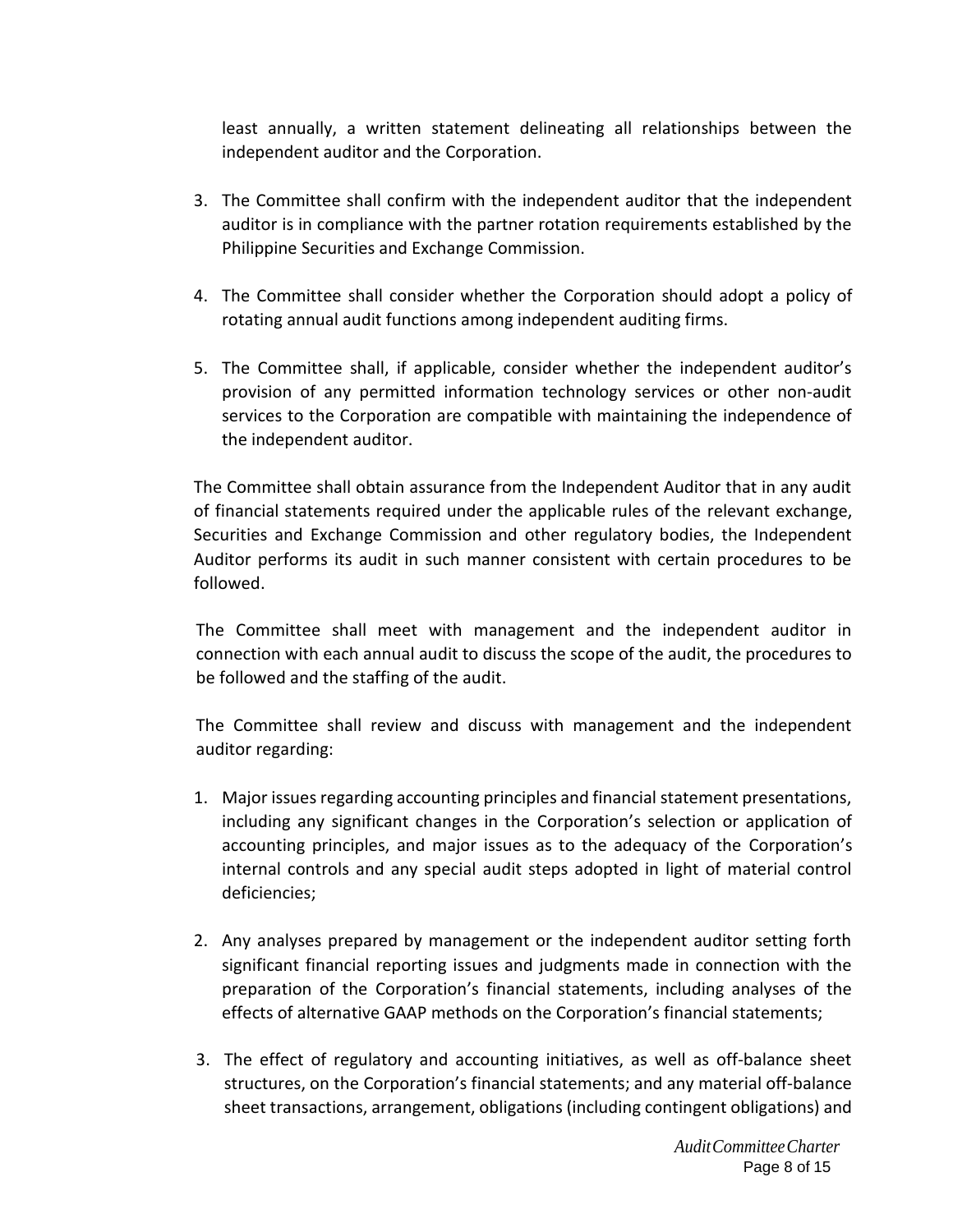least annually, a written statement delineating all relationships between the independent auditor and the Corporation.

- 3. The Committee shall confirm with the independent auditor that the independent auditor is in compliance with the partner rotation requirements established by the Philippine Securities and Exchange Commission.
- 4. The Committee shall consider whether the Corporation should adopt a policy of rotating annual audit functions among independent auditing firms.
- 5. The Committee shall, if applicable, consider whether the independent auditor's provision of any permitted information technology services or other non‐audit services to the Corporation are compatible with maintaining the independence of the independent auditor.

The Committee shall obtain assurance from the Independent Auditor that in any audit of financial statements required under the applicable rules of the relevant exchange, Securities and Exchange Commission and other regulatory bodies, the Independent Auditor performs its audit in such manner consistent with certain procedures to be followed.

The Committee shall meet with management and the independent auditor in connection with each annual audit to discuss the scope of the audit, the procedures to be followed and the staffing of the audit.

The Committee shall review and discuss with management and the independent auditor regarding:

- 1. Major issues regarding accounting principles and financial statement presentations, including any significant changes in the Corporation's selection or application of accounting principles, and major issues as to the adequacy of the Corporation's internal controls and any special audit steps adopted in light of material control deficiencies;
- 2. Any analyses prepared by management or the independent auditor setting forth significant financial reporting issues and judgments made in connection with the preparation of the Corporation's financial statements, including analyses of the effects of alternative GAAP methods on the Corporation's financial statements;
- 3. The effect of regulatory and accounting initiatives, as well as off‐balance sheet structures, on the Corporation's financial statements; and any material off‐balance sheet transactions, arrangement, obligations (including contingent obligations) and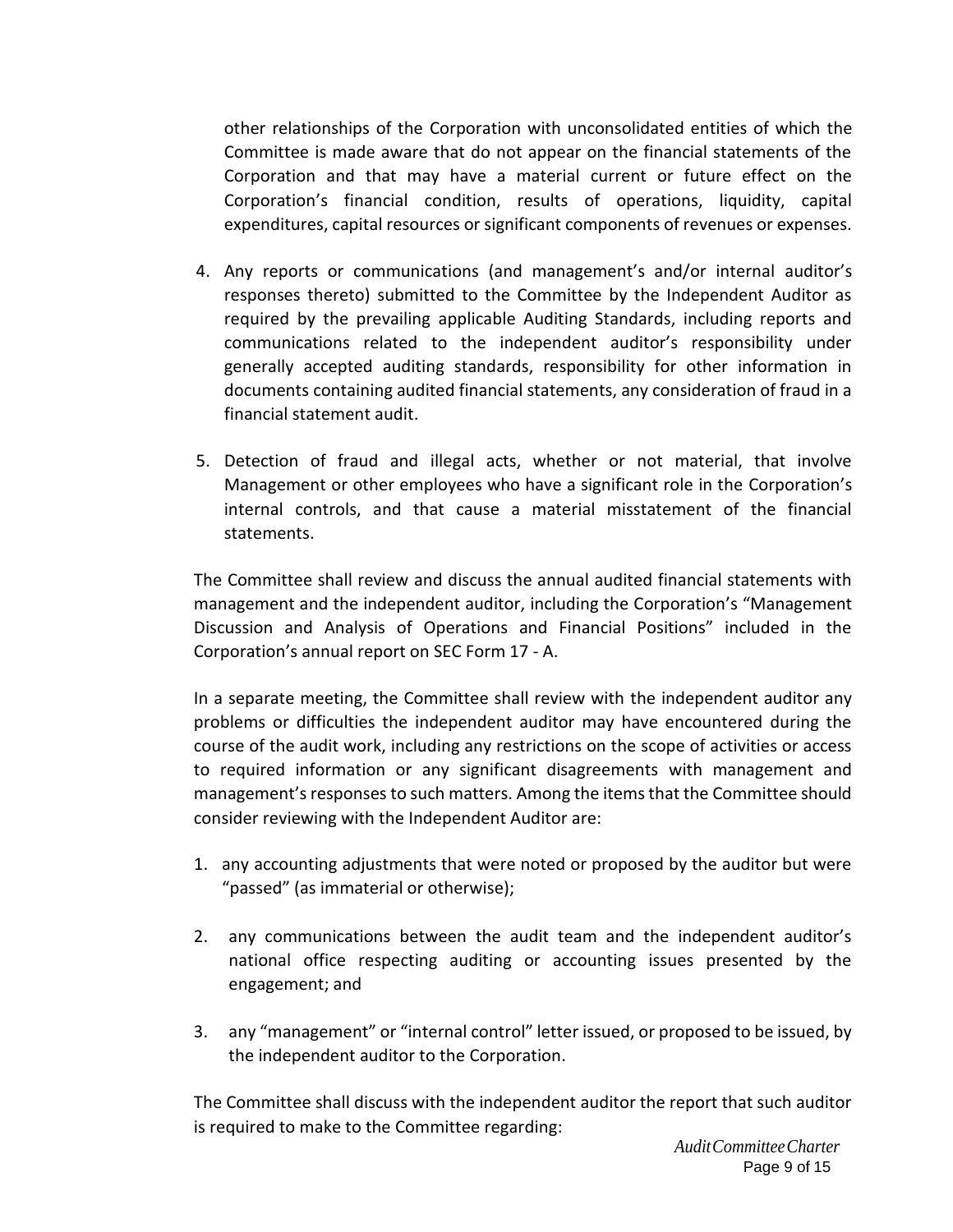other relationships of the Corporation with unconsolidated entities of which the Committee is made aware that do not appear on the financial statements of the Corporation and that may have a material current or future effect on the Corporation's financial condition, results of operations, liquidity, capital expenditures, capital resources or significant components of revenues or expenses.

- 4. Any reports or communications (and management's and/or internal auditor's responses thereto) submitted to the Committee by the Independent Auditor as required by the prevailing applicable Auditing Standards, including reports and communications related to the independent auditor's responsibility under generally accepted auditing standards, responsibility for other information in documents containing audited financial statements, any consideration of fraud in a financial statement audit.
- 5. Detection of fraud and illegal acts, whether or not material, that involve Management or other employees who have a significant role in the Corporation's internal controls, and that cause a material misstatement of the financial statements.

The Committee shall review and discuss the annual audited financial statements with management and the independent auditor, including the Corporation's "Management Discussion and Analysis of Operations and Financial Positions" included in the Corporation's annual report on SEC Form 17 ‐ A.

In a separate meeting, the Committee shall review with the independent auditor any problems or difficulties the independent auditor may have encountered during the course of the audit work, including any restrictions on the scope of activities or access to required information or any significant disagreements with management and management's responses to such matters. Among the items that the Committee should consider reviewing with the Independent Auditor are:

- 1. any accounting adjustments that were noted or proposed by the auditor but were "passed" (as immaterial or otherwise);
- 2. any communications between the audit team and the independent auditor's national office respecting auditing or accounting issues presented by the engagement; and
- 3. any "management" or "internal control" letter issued, or proposed to be issued, by the independent auditor to the Corporation.

The Committee shall discuss with the independent auditor the report that such auditor is required to make to the Committee regarding: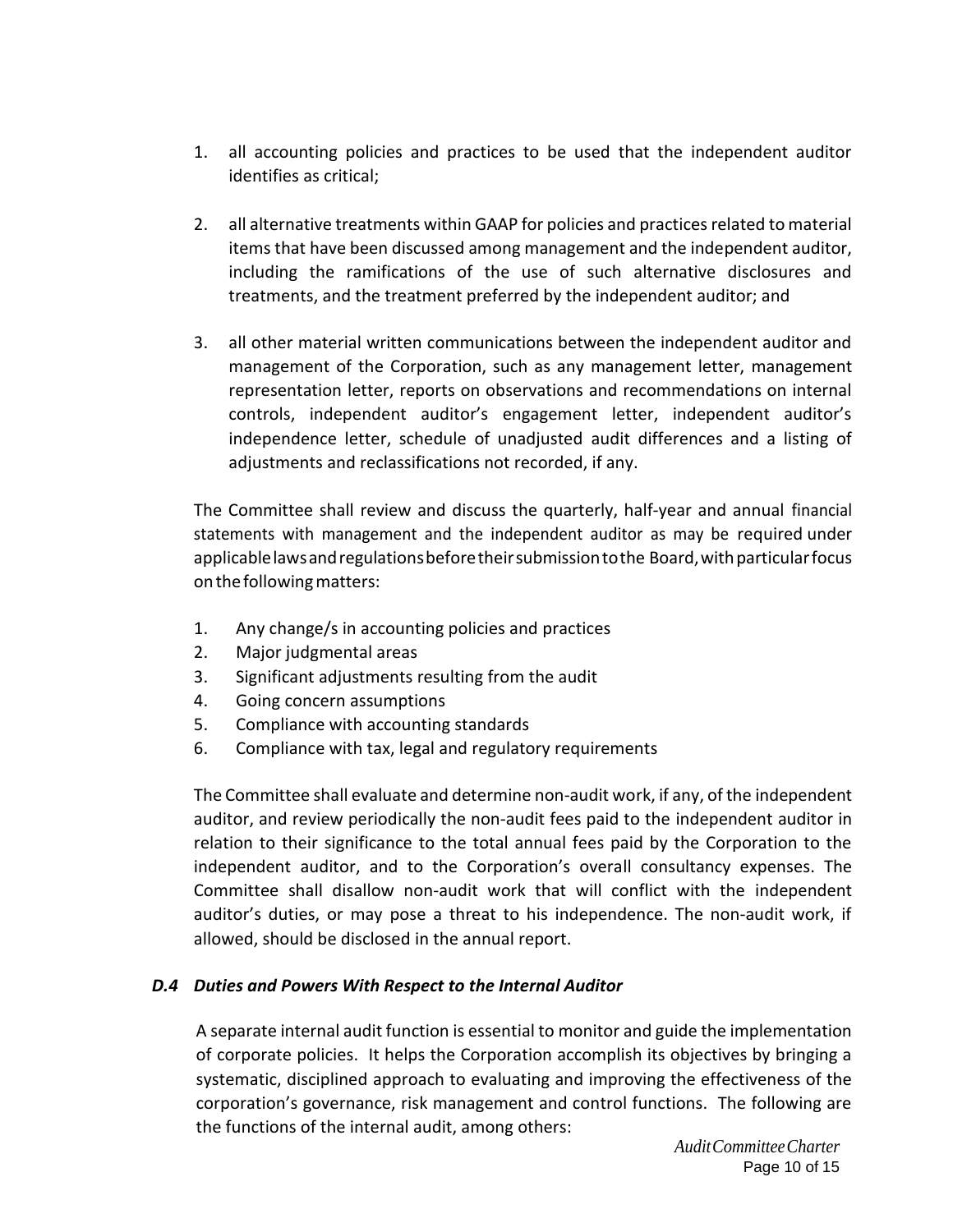- 1. all accounting policies and practices to be used that the independent auditor identifies as critical;
- 2. all alternative treatments within GAAP for policies and practices related to material items that have been discussed among management and the independent auditor, including the ramifications of the use of such alternative disclosures and treatments, and the treatment preferred by the independent auditor; and
- 3. all other material written communications between the independent auditor and management of the Corporation, such as any management letter, management representation letter, reports on observations and recommendations on internal controls, independent auditor's engagement letter, independent auditor's independence letter, schedule of unadjusted audit differences and a listing of adjustments and reclassifications not recorded, if any.

The Committee shall review and discuss the quarterly, half‐year and annual financial statements with management and the independent auditor as may be required under applicablelawsandregulationsbeforetheirsubmissiontothe Board,withparticularfocus on the following matters:

- 1. Any change/s in accounting policies and practices
- 2. Major judgmental areas
- 3. Significant adjustments resulting from the audit
- 4. Going concern assumptions
- 5. Compliance with accounting standards
- 6. Compliance with tax, legal and regulatory requirements

The Committee shall evaluate and determine non‐audit work, if any, of the independent auditor, and review periodically the non-audit fees paid to the independent auditor in relation to their significance to the total annual fees paid by the Corporation to the independent auditor, and to the Corporation's overall consultancy expenses. The Committee shall disallow non‐audit work that will conflict with the independent auditor's duties, or may pose a threat to his independence. The non-audit work, if allowed, should be disclosed in the annual report.

# *D.4 Duties and Powers With Respect to the Internal Auditor*

A separate internal audit function is essential to monitor and guide the implementation of corporate policies. It helps the Corporation accomplish its objectives by bringing a systematic, disciplined approach to evaluating and improving the effectiveness of the corporation's governance, risk management and control functions. The following are the functions of the internal audit, among others: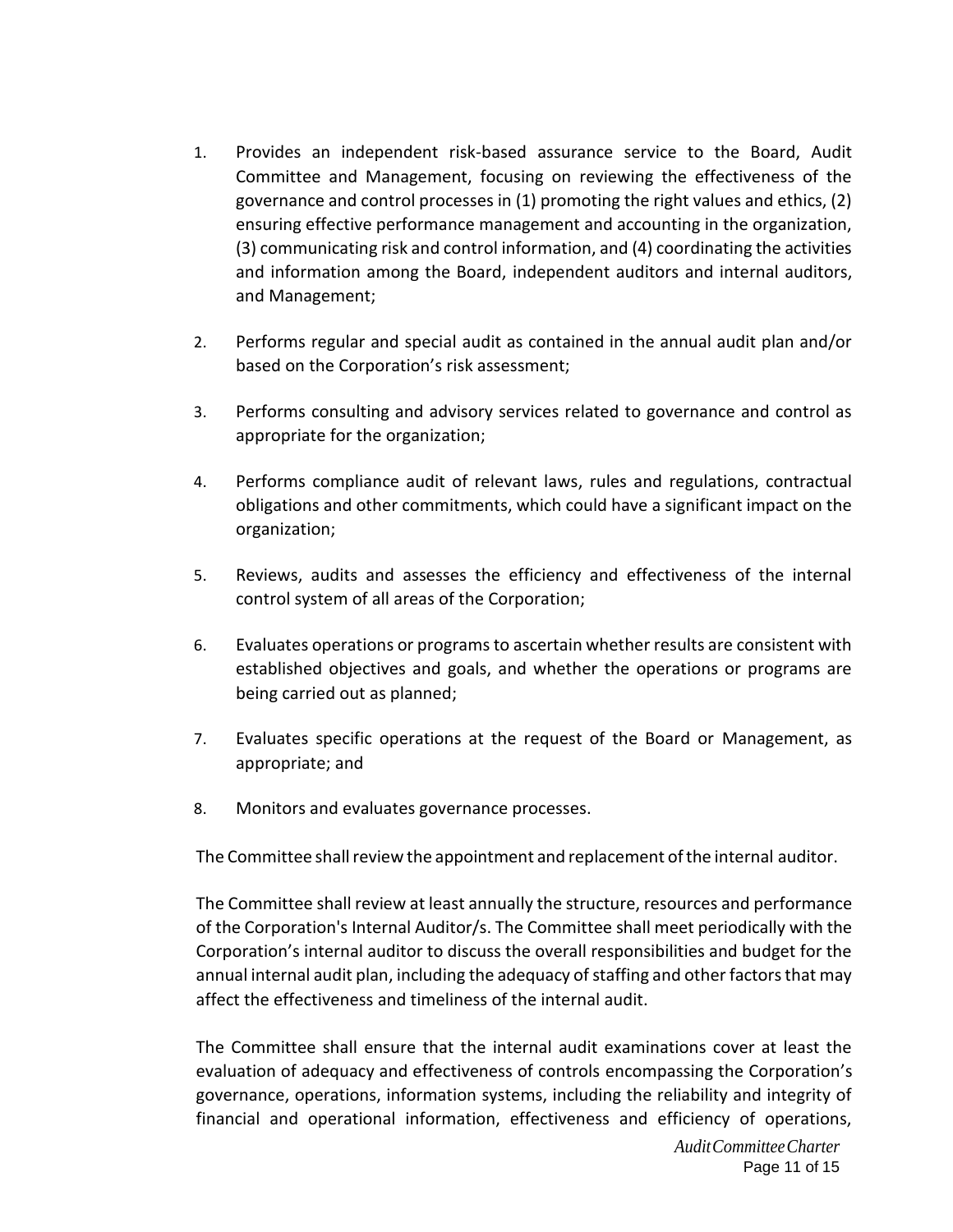- 1. Provides an independent risk-based assurance service to the Board, Audit Committee and Management, focusing on reviewing the effectiveness of the governance and control processes in (1) promoting the right values and ethics, (2) ensuring effective performance management and accounting in the organization, (3) communicating risk and control information, and (4) coordinating the activities and information among the Board, independent auditors and internal auditors, and Management;
- 2. Performs regular and special audit as contained in the annual audit plan and/or based on the Corporation's risk assessment;
- 3. Performs consulting and advisory services related to governance and control as appropriate for the organization;
- 4. Performs compliance audit of relevant laws, rules and regulations, contractual obligations and other commitments, which could have a significant impact on the organization;
- 5. Reviews, audits and assesses the efficiency and effectiveness of the internal control system of all areas of the Corporation;
- 6. Evaluates operations or programs to ascertain whether results are consistent with established objectives and goals, and whether the operations or programs are being carried out as planned;
- 7. Evaluates specific operations at the request of the Board or Management, as appropriate; and
- 8. Monitors and evaluates governance processes.

The Committee shall review the appointment and replacement of the internal auditor.

The Committee shall review at least annually the structure, resources and performance of the Corporation's Internal Auditor/s. The Committee shall meet periodically with the Corporation's internal auditor to discuss the overall responsibilities and budget for the annual internal audit plan, including the adequacy of staffing and other factors that may affect the effectiveness and timeliness of the internal audit.

The Committee shall ensure that the internal audit examinations cover at least the evaluation of adequacy and effectiveness of controls encompassing the Corporation's governance, operations, information systems, including the reliability and integrity of financial and operational information, effectiveness and efficiency of operations,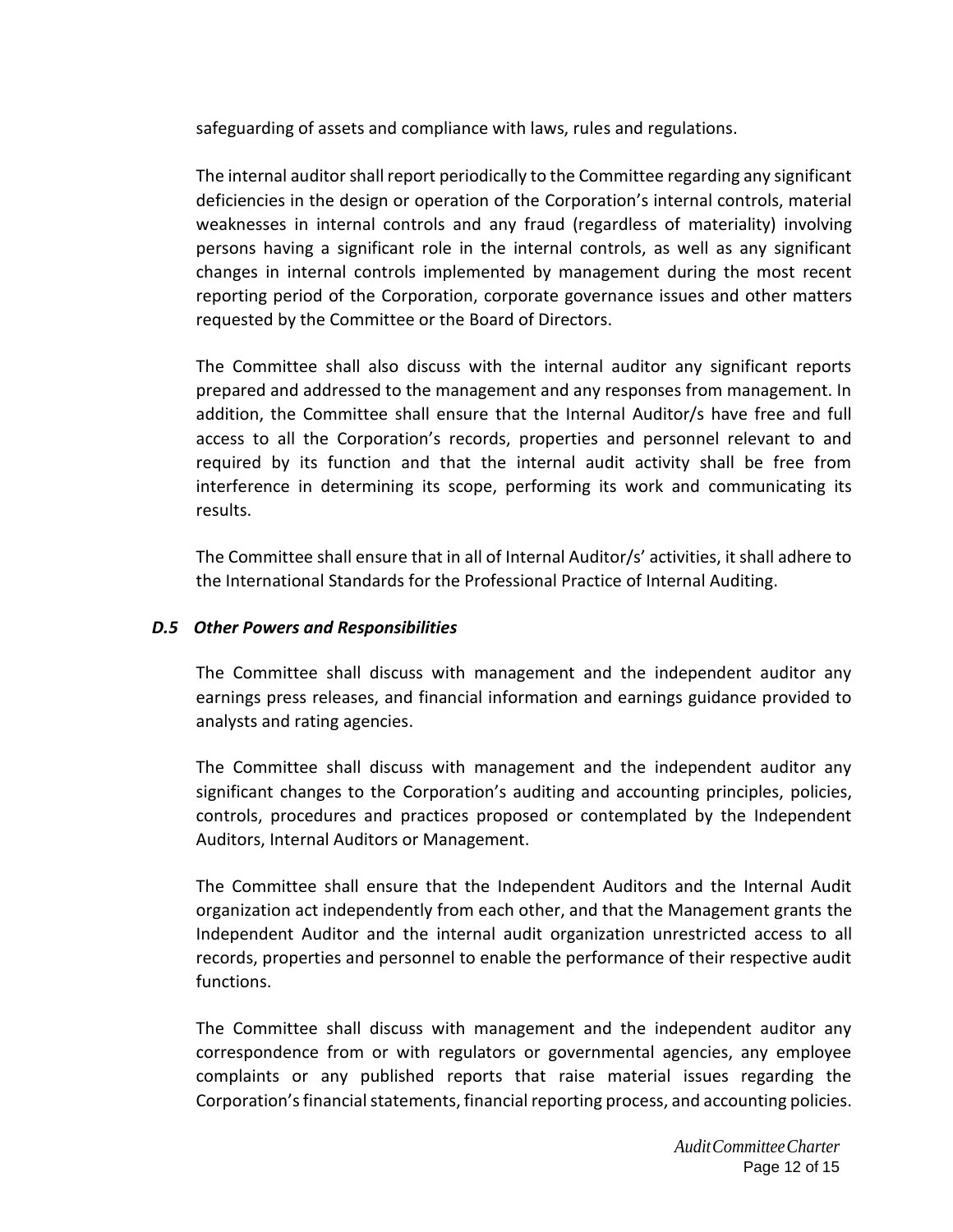safeguarding of assets and compliance with laws, rules and regulations.

The internal auditor shall report periodically to the Committee regarding any significant deficiencies in the design or operation of the Corporation's internal controls, material weaknesses in internal controls and any fraud (regardless of materiality) involving persons having a significant role in the internal controls, as well as any significant changes in internal controls implemented by management during the most recent reporting period of the Corporation, corporate governance issues and other matters requested by the Committee or the Board of Directors.

The Committee shall also discuss with the internal auditor any significant reports prepared and addressed to the management and any responses from management. In addition, the Committee shall ensure that the Internal Auditor/s have free and full access to all the Corporation's records, properties and personnel relevant to and required by its function and that the internal audit activity shall be free from interference in determining its scope, performing its work and communicating its results.

The Committee shall ensure that in all of Internal Auditor/s' activities, it shall adhere to the International Standards for the Professional Practice of Internal Auditing.

# *D.5 Other Powers and Responsibilities*

The Committee shall discuss with management and the independent auditor any earnings press releases, and financial information and earnings guidance provided to analysts and rating agencies.

The Committee shall discuss with management and the independent auditor any significant changes to the Corporation's auditing and accounting principles, policies, controls, procedures and practices proposed or contemplated by the Independent Auditors, Internal Auditors or Management.

The Committee shall ensure that the Independent Auditors and the Internal Audit organization act independently from each other, and that the Management grants the Independent Auditor and the internal audit organization unrestricted access to all records, properties and personnel to enable the performance of their respective audit functions.

The Committee shall discuss with management and the independent auditor any correspondence from or with regulators or governmental agencies, any employee complaints or any published reports that raise material issues regarding the Corporation's financial statements, financial reporting process, and accounting policies.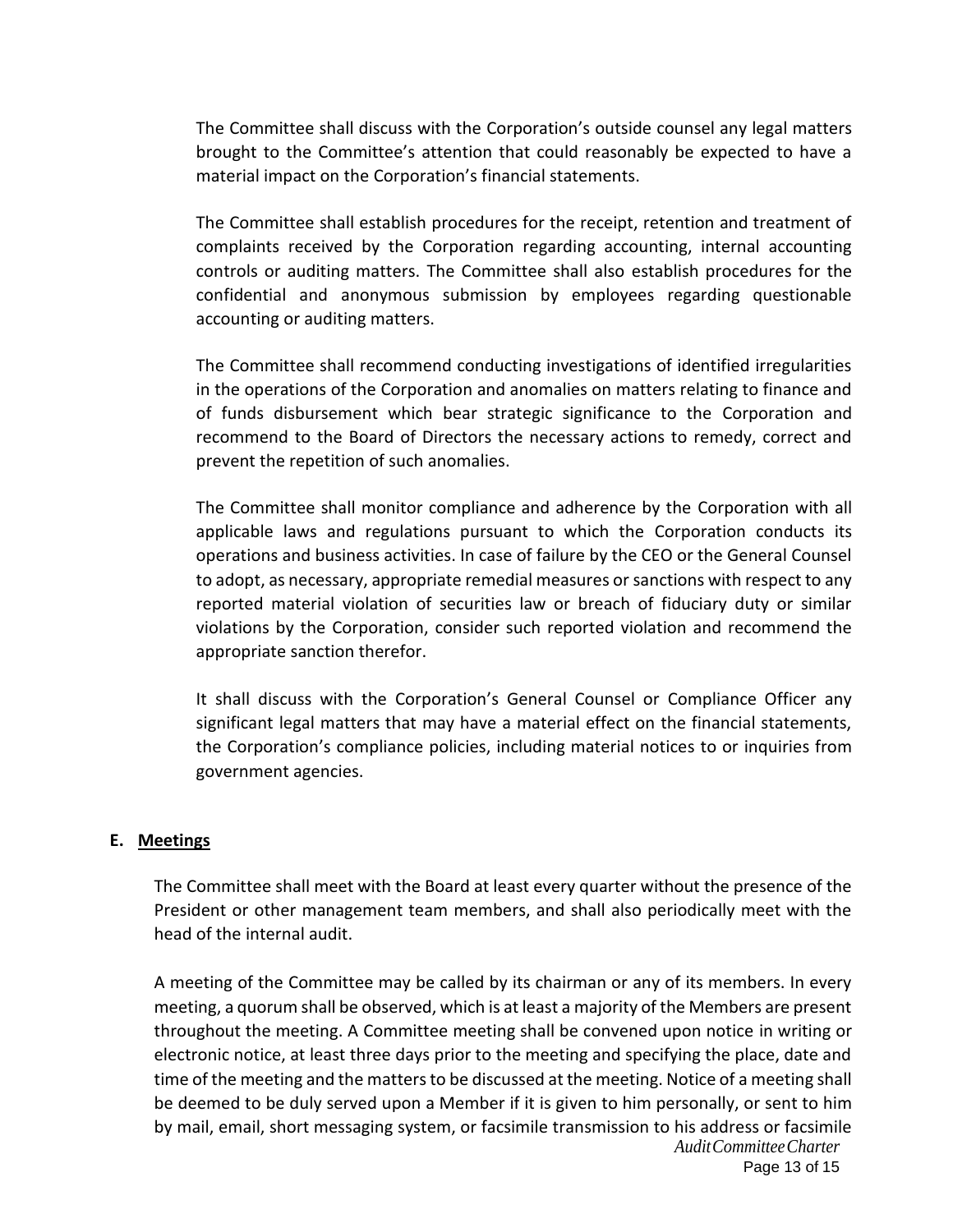The Committee shall discuss with the Corporation's outside counsel any legal matters brought to the Committee's attention that could reasonably be expected to have a material impact on the Corporation's financial statements.

The Committee shall establish procedures for the receipt, retention and treatment of complaints received by the Corporation regarding accounting, internal accounting controls or auditing matters. The Committee shall also establish procedures for the confidential and anonymous submission by employees regarding questionable accounting or auditing matters.

The Committee shall recommend conducting investigations of identified irregularities in the operations of the Corporation and anomalies on matters relating to finance and of funds disbursement which bear strategic significance to the Corporation and recommend to the Board of Directors the necessary actions to remedy, correct and prevent the repetition of such anomalies.

The Committee shall monitor compliance and adherence by the Corporation with all applicable laws and regulations pursuant to which the Corporation conducts its operations and business activities. In case of failure by the CEO or the General Counsel to adopt, as necessary, appropriate remedial measures or sanctions with respect to any reported material violation of securities law or breach of fiduciary duty or similar violations by the Corporation, consider such reported violation and recommend the appropriate sanction therefor.

It shall discuss with the Corporation's General Counsel or Compliance Officer any significant legal matters that may have a material effect on the financial statements, the Corporation's compliance policies, including material notices to or inquiries from government agencies.

#### **E. Meetings**

The Committee shall meet with the Board at least every quarter without the presence of the President or other management team members, and shall also periodically meet with the head of the internal audit.

*AuditCommitteeCharter* A meeting of the Committee may be called by its chairman or any of its members. In every meeting, a quorum shall be observed, which is at least a majority of the Members are present throughout the meeting. A Committee meeting shall be convened upon notice in writing or electronic notice, at least three days prior to the meeting and specifying the place, date and time of the meeting and the matters to be discussed at the meeting. Notice of a meeting shall be deemed to be duly served upon a Member if it is given to him personally, or sent to him by mail, email, short messaging system, or facsimile transmission to his address or facsimile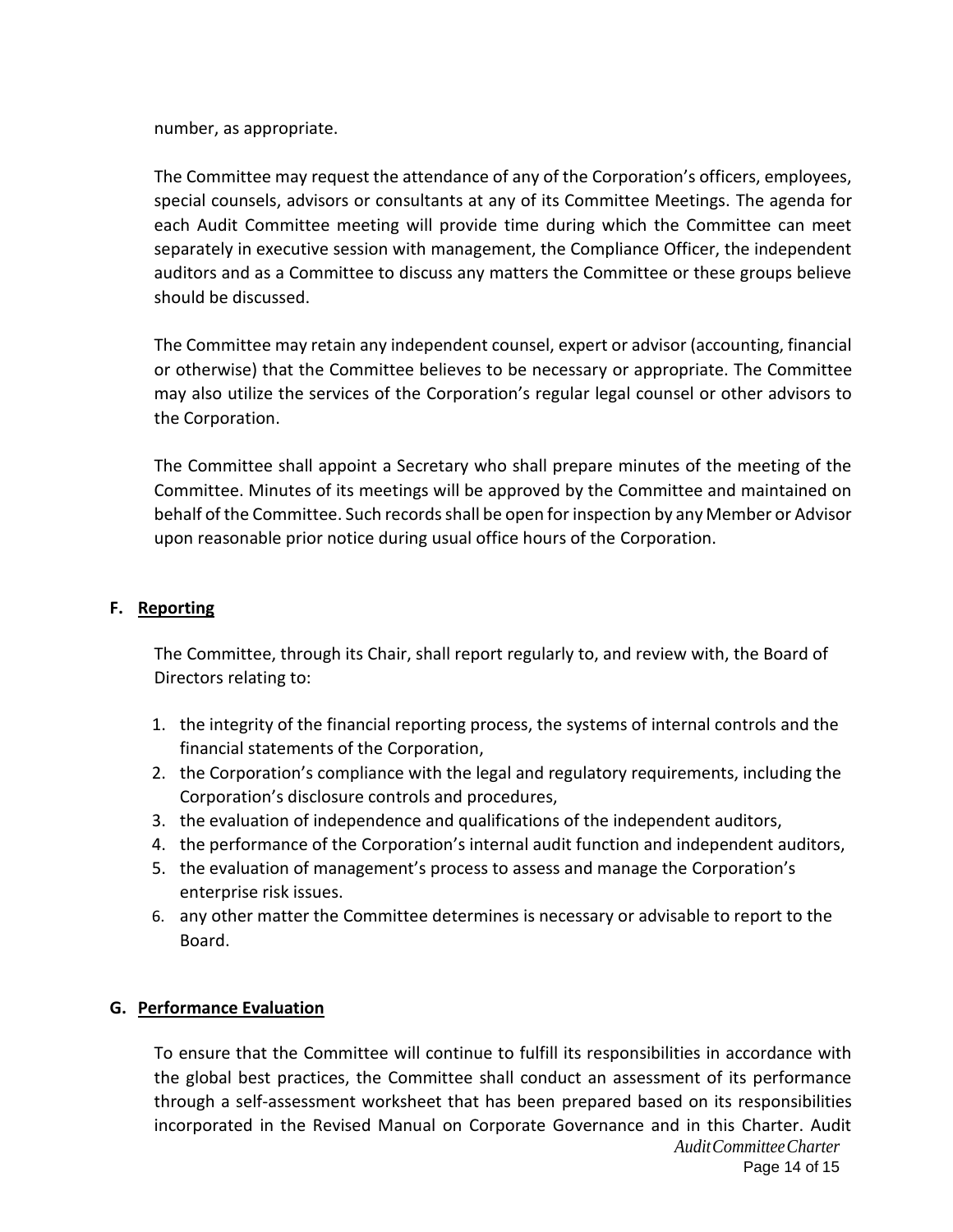number, as appropriate.

The Committee may request the attendance of any of the Corporation's officers, employees, special counsels, advisors or consultants at any of its Committee Meetings. The agenda for each Audit Committee meeting will provide time during which the Committee can meet separately in executive session with management, the Compliance Officer, the independent auditors and as a Committee to discuss any matters the Committee or these groups believe should be discussed.

The Committee may retain any independent counsel, expert or advisor (accounting, financial or otherwise) that the Committee believes to be necessary or appropriate. The Committee may also utilize the services of the Corporation's regular legal counsel or other advisors to the Corporation.

The Committee shall appoint a Secretary who shall prepare minutes of the meeting of the Committee. Minutes of its meetings will be approved by the Committee and maintained on behalf of the Committee. Such records shall be open for inspection by any Member or Advisor upon reasonable prior notice during usual office hours of the Corporation.

## **F. Reporting**

The Committee, through its Chair, shall report regularly to, and review with, the Board of Directors relating to:

- 1. the integrity of the financial reporting process, the systems of internal controls and the financial statements of the Corporation,
- 2. the Corporation's compliance with the legal and regulatory requirements, including the Corporation's disclosure controls and procedures,
- 3. the evaluation of independence and qualifications of the independent auditors,
- 4. the performance of the Corporation's internal audit function and independent auditors,
- 5. the evaluation of management's process to assess and manage the Corporation's enterprise risk issues.
- 6. any other matter the Committee determines is necessary or advisable to report to the Board.

## **G. Performance Evaluation**

*AuditCommitteeCharter* To ensure that the Committee will continue to fulfill its responsibilities in accordance with the global best practices, the Committee shall conduct an assessment of its performance through a self‐assessment worksheet that has been prepared based on its responsibilities incorporated in the Revised Manual on Corporate Governance and in this Charter. Audit